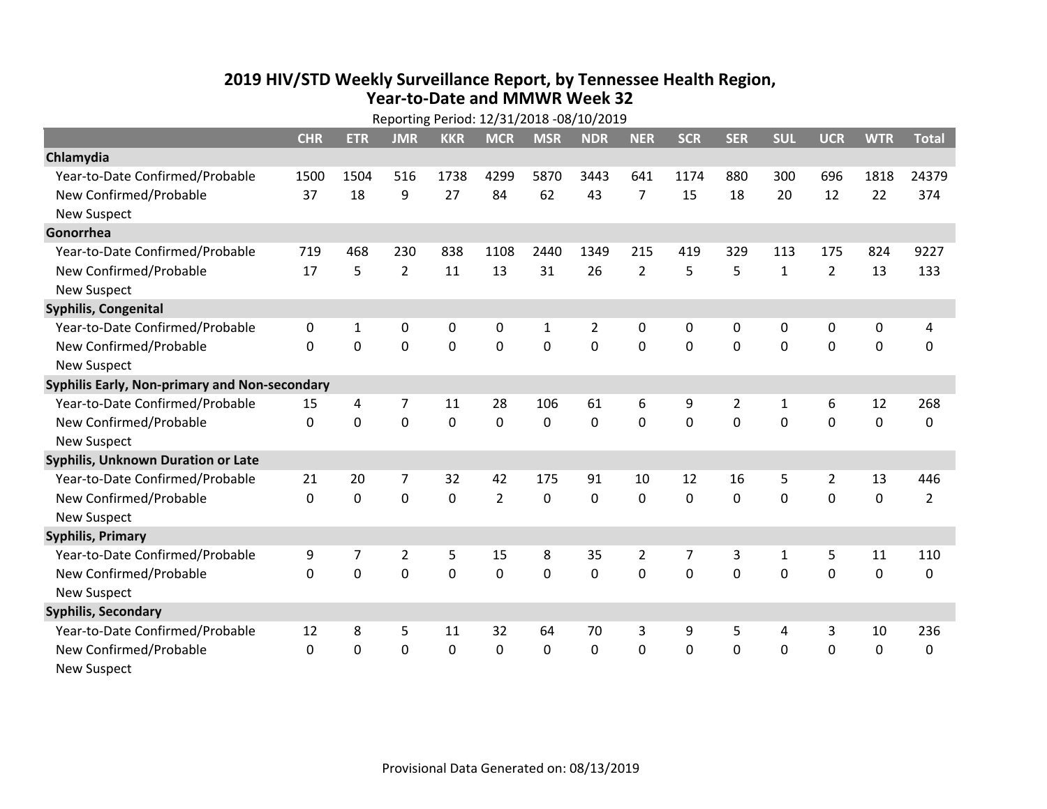## **2019 HIV /STD Weekly Surveillance Report, by Tennessee Health Region, Year‐to‐Date and MMWR Week 32**

| Reporting Period: 12/31/2018 -08/10/2019      |             |             |                |             |                |                |                |                |              |                |              |                |             |                |
|-----------------------------------------------|-------------|-------------|----------------|-------------|----------------|----------------|----------------|----------------|--------------|----------------|--------------|----------------|-------------|----------------|
|                                               | <b>CHR</b>  | <b>ETR</b>  | <b>JMR</b>     | <b>KKR</b>  | <b>MCR</b>     | <b>MSR</b>     | <b>NDR</b>     | <b>NER</b>     | <b>SCR</b>   | <b>SER</b>     | <b>SUL</b>   | <b>UCR</b>     | <b>WTR</b>  | <b>Total</b>   |
| Chlamydia                                     |             |             |                |             |                |                |                |                |              |                |              |                |             |                |
| Year-to-Date Confirmed/Probable               | 1500        | 1504        | 516            | 1738        | 4299           | 5870           | 3443           | 641            | 1174         | 880            | 300          | 696            | 1818        | 24379          |
| New Confirmed/Probable                        | 37          | 18          | 9              | 27          | 84             | 62             | 43             | $\overline{7}$ | 15           | 18             | 20           | 12             | 22          | 374            |
| <b>New Suspect</b>                            |             |             |                |             |                |                |                |                |              |                |              |                |             |                |
| Gonorrhea                                     |             |             |                |             |                |                |                |                |              |                |              |                |             |                |
| Year-to-Date Confirmed/Probable               | 719         | 468         | 230            | 838         | 1108           | 2440           | 1349           | 215            | 419          | 329            | 113          | 175            | 824         | 9227           |
| New Confirmed/Probable                        | 17          | 5           | $\overline{2}$ | 11          | 13             | 31             | 26             | $\overline{2}$ | 5            | 5              | $\mathbf{1}$ | $\overline{2}$ | 13          | 133            |
| <b>New Suspect</b>                            |             |             |                |             |                |                |                |                |              |                |              |                |             |                |
| <b>Syphilis, Congenital</b>                   |             |             |                |             |                |                |                |                |              |                |              |                |             |                |
| Year-to-Date Confirmed/Probable               | 0           | 1           | $\mathbf 0$    | 0           | $\pmb{0}$      | $\mathbf{1}$   | $\overline{2}$ | $\mathbf 0$    | 0            | 0              | $\mathbf 0$  | 0              | $\mathbf 0$ | 4              |
| New Confirmed/Probable                        | $\Omega$    | 0           | $\mathbf 0$    | 0           | $\mathbf 0$    | $\overline{0}$ | 0              | $\mathbf 0$    | $\mathbf{0}$ | 0              | $\mathbf 0$  | 0              | $\mathbf 0$ | 0              |
| <b>New Suspect</b>                            |             |             |                |             |                |                |                |                |              |                |              |                |             |                |
| Syphilis Early, Non-primary and Non-secondary |             |             |                |             |                |                |                |                |              |                |              |                |             |                |
| Year-to-Date Confirmed/Probable               | 15          | 4           | $\overline{7}$ | 11          | 28             | 106            | 61             | 6              | 9            | $\overline{2}$ | 1            | 6              | 12          | 268            |
| New Confirmed/Probable                        | $\mathbf 0$ | $\mathbf 0$ | $\mathbf 0$    | $\mathbf 0$ | $\mathbf 0$    | $\mathbf 0$    | 0              | $\mathbf 0$    | 0            | $\mathbf 0$    | $\mathbf 0$  | $\mathbf 0$    | $\mathbf 0$ | 0              |
| <b>New Suspect</b>                            |             |             |                |             |                |                |                |                |              |                |              |                |             |                |
| <b>Syphilis, Unknown Duration or Late</b>     |             |             |                |             |                |                |                |                |              |                |              |                |             |                |
| Year-to-Date Confirmed/Probable               | 21          | 20          | 7              | 32          | 42             | 175            | 91             | 10             | 12           | 16             | 5            | $\overline{2}$ | 13          | 446            |
| New Confirmed/Probable                        | $\Omega$    | $\mathbf 0$ | $\mathbf 0$    | 0           | $\overline{2}$ | 0              | 0              | $\Omega$       | $\Omega$     | 0              | 0            | $\Omega$       | $\mathbf 0$ | $\overline{2}$ |
| <b>New Suspect</b>                            |             |             |                |             |                |                |                |                |              |                |              |                |             |                |
| <b>Syphilis, Primary</b>                      |             |             |                |             |                |                |                |                |              |                |              |                |             |                |
| Year-to-Date Confirmed/Probable               | 9           | 7           | $\overline{2}$ | 5           | 15             | 8              | 35             | $\overline{2}$ | 7            | 3              | $\mathbf{1}$ | 5              | 11          | 110            |
| New Confirmed/Probable                        | $\Omega$    | 0           | 0              | 0           | $\mathbf 0$    | $\mathbf 0$    | 0              | $\Omega$       | $\mathbf{0}$ | 0              | $\mathbf{0}$ | 0              | 0           | 0              |
| <b>New Suspect</b>                            |             |             |                |             |                |                |                |                |              |                |              |                |             |                |
| <b>Syphilis, Secondary</b>                    |             |             |                |             |                |                |                |                |              |                |              |                |             |                |
| Year-to-Date Confirmed/Probable               | 12          | 8           | 5              | 11          | 32             | 64             | 70             | 3              | 9            | 5              | 4            | 3              | 10          | 236            |
| New Confirmed/Probable                        | 0           | 0           | 0              | 0           | $\mathbf 0$    | 0              | 0              | $\mathbf 0$    | 0            | 0              | $\mathbf 0$  | 0              | $\mathbf 0$ | $\Omega$       |
| <b>New Suspect</b>                            |             |             |                |             |                |                |                |                |              |                |              |                |             |                |